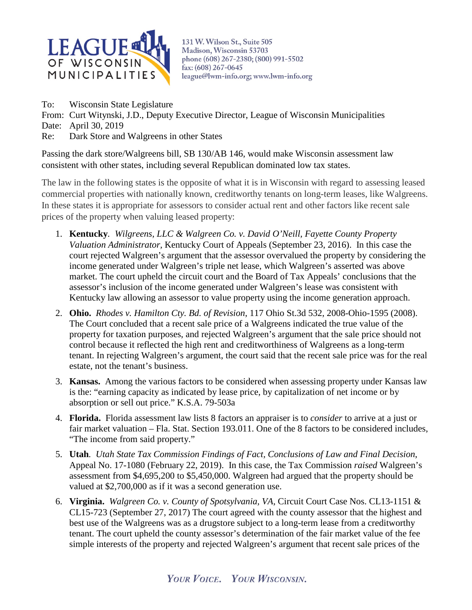

131 W. Wilson St., Suite 505 Madison, Wisconsin 53703 phone (608) 267-2380; (800) 991-5502 fax: (608) 267-0645 league@lwm-info.org; www.lwm-info.org

To: Wisconsin State Legislature

From: Curt Witynski, J.D., Deputy Executive Director, League of Wisconsin Municipalities

Date: April 30, 2019

Re: Dark Store and Walgreens in other States

Passing the dark store/Walgreens bill, SB 130/AB 146, would make Wisconsin assessment law consistent with other states, including several Republican dominated low tax states.

The law in the following states is the opposite of what it is in Wisconsin with regard to assessing leased commercial properties with nationally known, creditworthy tenants on long-term leases, like Walgreens. In these states it is appropriate for assessors to consider actual rent and other factors like recent sale prices of the property when valuing leased property:

- 1. **Kentucky***. Wilgreens, LLC & Walgreen Co. v. David O'Neill, Fayette County Property Valuation Administrator,* Kentucky Court of Appeals (September 23, 2016). In this case the court rejected Walgreen's argument that the assessor overvalued the property by considering the income generated under Walgreen's triple net lease, which Walgreen's asserted was above market. The court upheld the circuit court and the Board of Tax Appeals' conclusions that the assessor's inclusion of the income generated under Walgreen's lease was consistent with Kentucky law allowing an assessor to value property using the income generation approach.
- 2. **Ohio.** *Rhodes v. Hamilton Cty. Bd. of Revision*, 117 Ohio St.3d 532, 2008-Ohio-1595 (2008). The Court concluded that a recent sale price of a Walgreens indicated the true value of the property for taxation purposes, and rejected Walgreen's argument that the sale price should not control because it reflected the high rent and creditworthiness of Walgreens as a long-term tenant. In rejecting Walgreen's argument, the court said that the recent sale price was for the real estate, not the tenant's business.
- 3. **Kansas.** Among the various factors to be considered when assessing property under Kansas law is the: "earning capacity as indicated by lease price, by capitalization of net income or by absorption or sell out price." K.S.A. 79-503a
- 4. **Florida.** Florida assessment law lists 8 factors an appraiser is to *consider* to arrive at a just or fair market valuation – Fla. Stat. Section 193.011. One of the 8 factors to be considered includes, "The income from said property."
- 5. **Utah***. Utah State Tax Commission Findings of Fact, Conclusions of Law and Final Decision*, Appeal No. 17-1080 (February 22, 2019). In this case, the Tax Commission *raised* Walgreen's assessment from \$4,695,200 to \$5,450,000. Walgreen had argued that the property should be valued at \$2,700,000 as if it was a second generation use.
- 6. **Virginia.** *Walgreen Co. v. County of Spotsylvania, VA*, Circuit Court Case Nos. CL13-1151 & CL15-723 (September 27, 2017) The court agreed with the county assessor that the highest and best use of the Walgreens was as a drugstore subject to a long-term lease from a creditworthy tenant. The court upheld the county assessor's determination of the fair market value of the fee simple interests of the property and rejected Walgreen's argument that recent sale prices of the